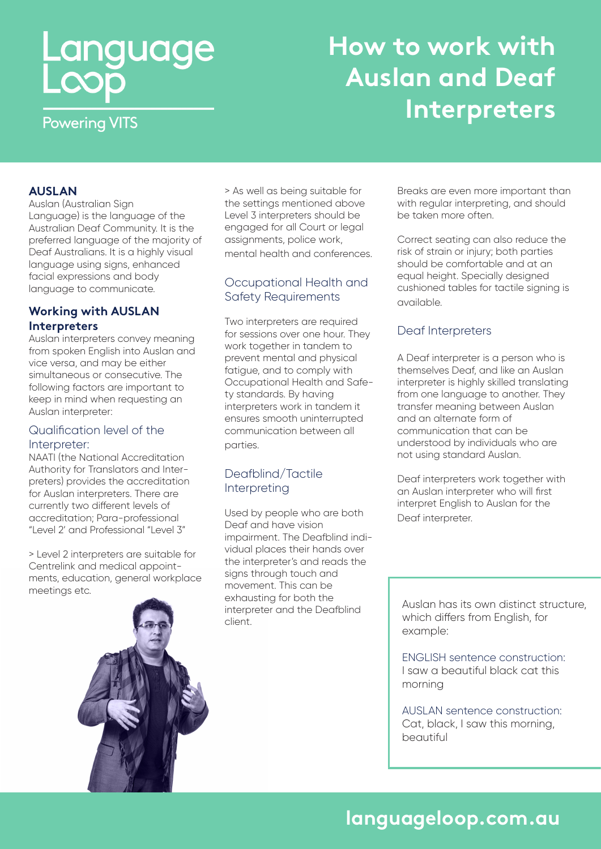# Language<br>Loop

## **How to work with Auslan and Deaf Interpreters**

**Powering VITS** 

### **AUSLAN**

Auslan (Australian Sign Language) is the language of the Australian Deaf Community. It is the preferred language of the majority of Deaf Australians. It is a highly visual language using signs, enhanced facial expressions and body language to communicate.

### **Working with AUSLAN Interpreters**

Auslan interpreters convey meaning from spoken English into Auslan and vice versa, and may be either simultaneous or consecutive. The following factors are important to keep in mind when requesting an Auslan interpreter:

### Qualification level of the Interpreter:

NAATI (the National Accreditation Authority for Translators and Interpreters) provides the accreditation for Auslan interpreters. There are currently two different levels of accreditation; Para-professional "Level 2' and Professional "Level 3"

> Level 2 interpreters are suitable for Centrelink and medical appointments, education, general workplace meetings etc.

> As well as being suitable for the settings mentioned above Level 3 interpreters should be engaged for all Court or legal assignments, police work, mental health and conferences.

### Occupational Health and Safety Requirements

Two interpreters are required for sessions over one hour. They work together in tandem to prevent mental and physical fatigue, and to comply with Occupational Health and Safety standards. By having interpreters work in tandem it ensures smooth uninterrupted communication between all parties.

### Deafblind/Tactile Interpreting

Used by people who are both Deaf and have vision impairment. The Deafblind individual places their hands over the interpreter's and reads the signs through touch and movement. This can be exhausting for both the interpreter and the Deafblind client.

Breaks are even more important than with regular interpreting, and should be taken more often.

Correct seating can also reduce the risk of strain or injury; both parties should be comfortable and at an equal height. Specially designed cushioned tables for tactile signing is available.

### Deaf Interpreters

A Deaf interpreter is a person who is themselves Deaf, and like an Auslan interpreter is highly skilled translating from one language to another. They transfer meaning between Auslan and an alternate form of communication that can be understood by individuals who are not using standard Auslan.

Deaf interpreters work together with an Auslan interpreter who will first interpret English to Auslan for the Deaf interpreter.

Auslan has its own distinct structure, which differs from English, for example:

ENGLISH sentence construction: I saw a beautiful black cat this morning

AUSLAN sentence construction: Cat, black, I saw this morning, beautiful

# **languageloop.com.au**